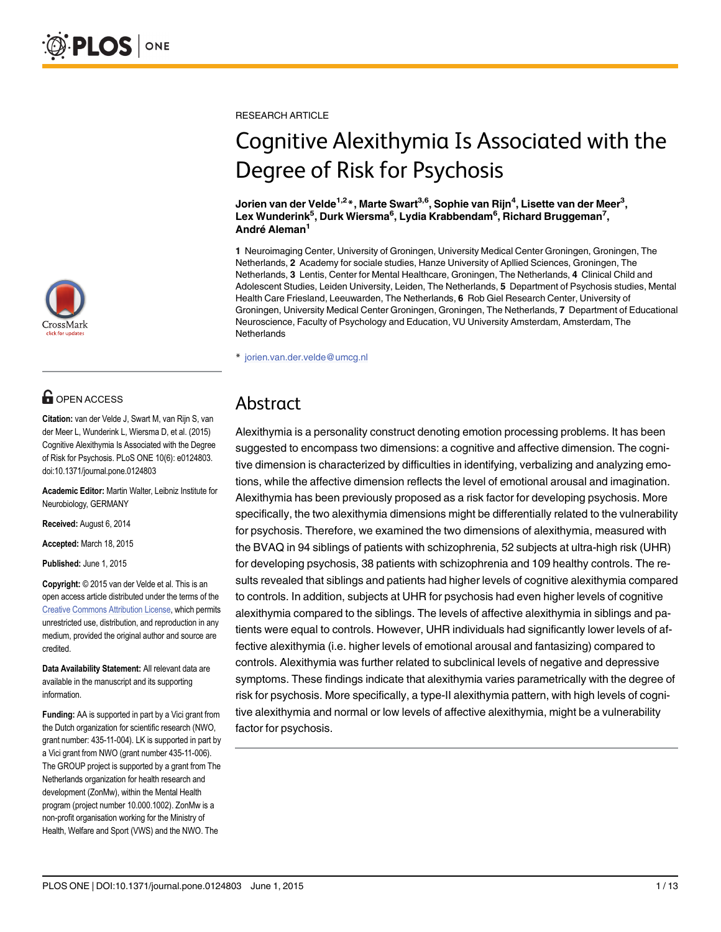

## **G** OPEN ACCESS

Citation: van der Velde J, Swart M, van Rijn S, van der Meer L, Wunderink L, Wiersma D, et al. (2015) Cognitive Alexithymia Is Associated with the Degree of Risk for Psychosis. PLoS ONE 10(6): e0124803. doi:10.1371/journal.pone.0124803

Academic Editor: Martin Walter, Leibniz Institute for Neurobiology, GERMANY

Received: August 6, 2014

Accepted: March 18, 2015

Published: June 1, 2015

Copyright: © 2015 van der Velde et al. This is an open access article distributed under the terms of the [Creative Commons Attribution License,](http://creativecommons.org/licenses/by/4.0/) which permits unrestricted use, distribution, and reproduction in any medium, provided the original author and source are credited.

Data Availability Statement: All relevant data are available in the manuscript and its supporting information.

Funding: AA is supported in part by a Vici grant from the Dutch organization for scientific research (NWO, grant number: 435-11-004). LK is supported in part by a Vici grant from NWO (grant number 435-11-006). The GROUP project is supported by a grant from The Netherlands organization for health research and development (ZonMw), within the Mental Health program (project number 10.000.1002). ZonMw is a non-profit organisation working for the Ministry of Health, Welfare and Sport (VWS) and the NWO. The

RESEARCH ARTICLE

# Cognitive Alexithymia Is Associated with the Degree of Risk for Psychosis

Jorien van der Velde<sup>1,2</sup>\*, Marte Swart<sup>3,6</sup>, Sophie van Rijn<sup>4</sup>, Lisette van der Meer<sup>3</sup>, Lex Wunderink<sup>5</sup>, Durk Wiersma<sup>6</sup>, Lydia Krabbendam<sup>6</sup>, Richard Bruggeman<sup>7</sup>, André Aleman<sup>1</sup>

1 Neuroimaging Center, University of Groningen, University Medical Center Groningen, Groningen, The Netherlands, 2 Academy for sociale studies, Hanze University of Apllied Sciences, Groningen, The Netherlands, 3 Lentis, Center for Mental Healthcare, Groningen, The Netherlands, 4 Clinical Child and Adolescent Studies, Leiden University, Leiden, The Netherlands, 5 Department of Psychosis studies, Mental Health Care Friesland, Leeuwarden, The Netherlands, 6 Rob Giel Research Center, University of Groningen, University Medical Center Groningen, Groningen, The Netherlands, 7 Department of Educational Neuroscience, Faculty of Psychology and Education, VU University Amsterdam, Amsterdam, The **Netherlands** 

\* jorien.van.der.velde@umcg.nl

## Abstract

Alexithymia is a personality construct denoting emotion processing problems. It has been suggested to encompass two dimensions: a cognitive and affective dimension. The cognitive dimension is characterized by difficulties in identifying, verbalizing and analyzing emotions, while the affective dimension reflects the level of emotional arousal and imagination. Alexithymia has been previously proposed as a risk factor for developing psychosis. More specifically, the two alexithymia dimensions might be differentially related to the vulnerability for psychosis. Therefore, we examined the two dimensions of alexithymia, measured with the BVAQ in 94 siblings of patients with schizophrenia, 52 subjects at ultra-high risk (UHR) for developing psychosis, 38 patients with schizophrenia and 109 healthy controls. The results revealed that siblings and patients had higher levels of cognitive alexithymia compared to controls. In addition, subjects at UHR for psychosis had even higher levels of cognitive alexithymia compared to the siblings. The levels of affective alexithymia in siblings and patients were equal to controls. However, UHR individuals had significantly lower levels of affective alexithymia (i.e. higher levels of emotional arousal and fantasizing) compared to controls. Alexithymia was further related to subclinical levels of negative and depressive symptoms. These findings indicate that alexithymia varies parametrically with the degree of risk for psychosis. More specifically, a type-II alexithymia pattern, with high levels of cognitive alexithymia and normal or low levels of affective alexithymia, might be a vulnerability factor for psychosis.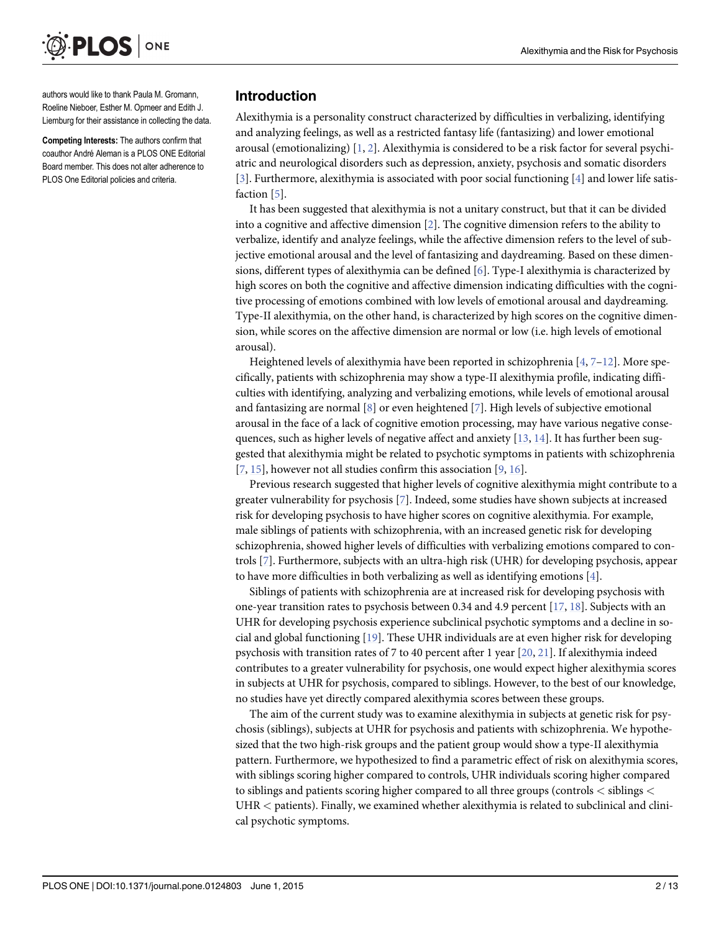<span id="page-1-0"></span>

authors would like to thank Paula M. Gromann, Roeline Nieboer, Esther M. Opmeer and Edith J. Liemburg for their assistance in collecting the data.

Competing Interests: The authors confirm that coauthor André Aleman is a PLOS ONE Editorial Board member. This does not alter adherence to PLOS One Editorial policies and criteria.

## Introduction

Alexithymia is a personality construct characterized by difficulties in verbalizing, identifying and analyzing feelings, as well as a restricted fantasy life (fantasizing) and lower emotional arousal (emotionalizing)  $[1, 2]$  $[1, 2]$  $[1, 2]$  $[1, 2]$ . Alexithymia is considered to be a risk factor for several psychiatric and neurological disorders such as depression, anxiety, psychosis and somatic disorders [\[3](#page-10-0)]. Furthermore, alexithymia is associated with poor social functioning [[4\]](#page-10-0) and lower life satis-faction [\[5\]](#page-11-0).

It has been suggested that alexithymia is not a unitary construct, but that it can be divided into a cognitive and affective dimension [\[2](#page-10-0)]. The cognitive dimension refers to the ability to verbalize, identify and analyze feelings, while the affective dimension refers to the level of subjective emotional arousal and the level of fantasizing and daydreaming. Based on these dimensions, different types of alexithymia can be defined [\[6](#page-11-0)]. Type-I alexithymia is characterized by high scores on both the cognitive and affective dimension indicating difficulties with the cognitive processing of emotions combined with low levels of emotional arousal and daydreaming. Type-II alexithymia, on the other hand, is characterized by high scores on the cognitive dimension, while scores on the affective dimension are normal or low (i.e. high levels of emotional arousal).

Heightened levels of alexithymia have been reported in schizophrenia  $[4, 7-12]$  $[4, 7-12]$  $[4, 7-12]$  $[4, 7-12]$  $[4, 7-12]$  $[4, 7-12]$ . More specifically, patients with schizophrenia may show a type-II alexithymia profile, indicating difficulties with identifying, analyzing and verbalizing emotions, while levels of emotional arousal and fantasizing are normal  $[8]$  $[8]$  or even heightened  $[7]$ . High levels of subjective emotional arousal in the face of a lack of cognitive emotion processing, may have various negative consequences, such as higher levels of negative affect and anxiety  $[13, 14]$  $[13, 14]$  $[13, 14]$  $[13, 14]$ . It has further been suggested that alexithymia might be related to psychotic symptoms in patients with schizophrenia [\[7](#page-11-0), [15](#page-11-0)], however not all studies confirm this association [\[9](#page-11-0), [16](#page-11-0)].

Previous research suggested that higher levels of cognitive alexithymia might contribute to a greater vulnerability for psychosis [[7](#page-11-0)]. Indeed, some studies have shown subjects at increased risk for developing psychosis to have higher scores on cognitive alexithymia. For example, male siblings of patients with schizophrenia, with an increased genetic risk for developing schizophrenia, showed higher levels of difficulties with verbalizing emotions compared to controls [\[7](#page-11-0)]. Furthermore, subjects with an ultra-high risk (UHR) for developing psychosis, appear to have more difficulties in both verbalizing as well as identifying emotions  $[4]$ .

Siblings of patients with schizophrenia are at increased risk for developing psychosis with one-year transition rates to psychosis between 0.34 and 4.9 percent  $[17, 18]$  $[17, 18]$  $[17, 18]$  $[17, 18]$  $[17, 18]$ . Subjects with an UHR for developing psychosis experience subclinical psychotic symptoms and a decline in social and global functioning [\[19\]](#page-11-0). These UHR individuals are at even higher risk for developing psychosis with transition rates of 7 to 40 percent after 1 year [[20,](#page-11-0) [21\]](#page-11-0). If alexithymia indeed contributes to a greater vulnerability for psychosis, one would expect higher alexithymia scores in subjects at UHR for psychosis, compared to siblings. However, to the best of our knowledge, no studies have yet directly compared alexithymia scores between these groups.

The aim of the current study was to examine alexithymia in subjects at genetic risk for psychosis (siblings), subjects at UHR for psychosis and patients with schizophrenia. We hypothesized that the two high-risk groups and the patient group would show a type-II alexithymia pattern. Furthermore, we hypothesized to find a parametric effect of risk on alexithymia scores, with siblings scoring higher compared to controls, UHR individuals scoring higher compared to siblings and patients scoring higher compared to all three groups (controls < siblings < UHR < patients). Finally, we examined whether alexithymia is related to subclinical and clinical psychotic symptoms.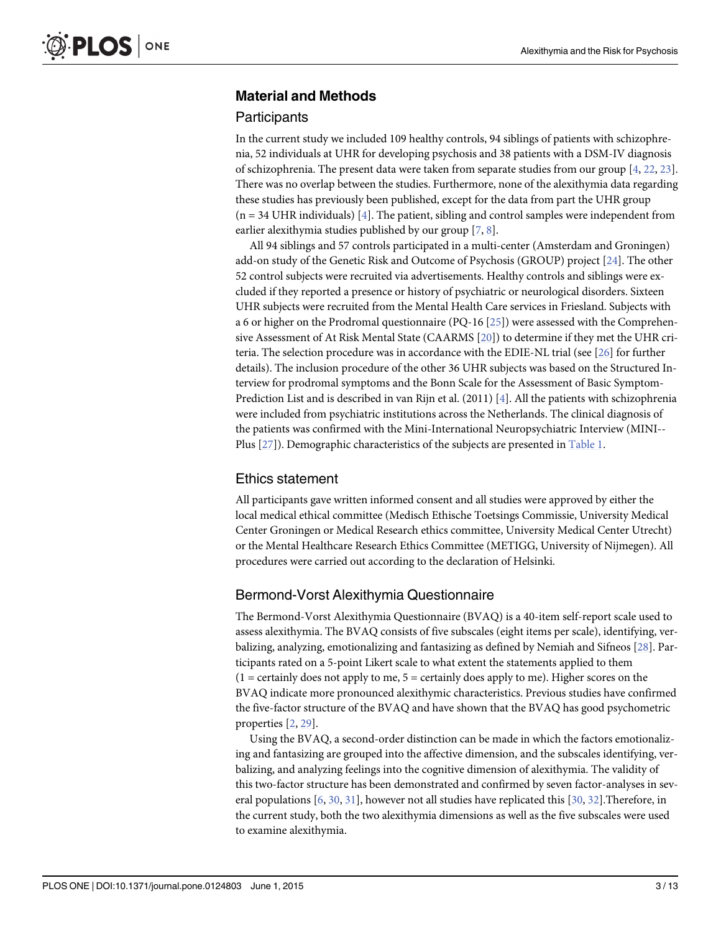## <span id="page-2-0"></span>Material and Methods

### **Participants**

In the current study we included 109 healthy controls, 94 siblings of patients with schizophrenia, 52 individuals at UHR for developing psychosis and 38 patients with a DSM-IV diagnosis of schizophrenia. The present data were taken from separate studies from our group  $[4, 22, 23]$  $[4, 22, 23]$  $[4, 22, 23]$  $[4, 22, 23]$  $[4, 22, 23]$  $[4, 22, 23]$  $[4, 22, 23]$ . There was no overlap between the studies. Furthermore, none of the alexithymia data regarding these studies has previously been published, except for the data from part the UHR group  $(n = 34 \text{ UHR individuals})$  [\[4\]](#page-10-0). The patient, sibling and control samples were independent from earlier alexithymia studies published by our group  $[7, 8]$  $[7, 8]$  $[7, 8]$  $[7, 8]$ .

All 94 siblings and 57 controls participated in a multi-center (Amsterdam and Groningen) add-on study of the Genetic Risk and Outcome of Psychosis (GROUP) project [\[24\]](#page-11-0). The other 52 control subjects were recruited via advertisements. Healthy controls and siblings were excluded if they reported a presence or history of psychiatric or neurological disorders. Sixteen UHR subjects were recruited from the Mental Health Care services in Friesland. Subjects with a 6 or higher on the Prodromal questionnaire (PQ-16  $[25]$ ) were assessed with the Comprehensive Assessment of At Risk Mental State (CAARMS [\[20\]](#page-11-0)) to determine if they met the UHR criteria. The selection procedure was in accordance with the EDIE-NL trial (see [\[26\]](#page-11-0) for further details). The inclusion procedure of the other 36 UHR subjects was based on the Structured Interview for prodromal symptoms and the Bonn Scale for the Assessment of Basic Symptom-Prediction List and is described in van Rijn et al. (2011) [ $4$ ]. All the patients with schizophrenia were included from psychiatric institutions across the Netherlands. The clinical diagnosis of the patients was confirmed with the Mini-International Neuropsychiatric Interview (MINI-- Plus [[27](#page-12-0)]). Demographic characteristics of the subjects are presented in [Table 1](#page-3-0).

## Ethics statement

All participants gave written informed consent and all studies were approved by either the local medical ethical committee (Medisch Ethische Toetsings Commissie, University Medical Center Groningen or Medical Research ethics committee, University Medical Center Utrecht) or the Mental Healthcare Research Ethics Committee (METIGG, University of Nijmegen). All procedures were carried out according to the declaration of Helsinki.

## Bermond-Vorst Alexithymia Questionnaire

The Bermond-Vorst Alexithymia Questionnaire (BVAQ) is a 40-item self-report scale used to assess alexithymia. The BVAQ consists of five subscales (eight items per scale), identifying, verbalizing, analyzing, emotionalizing and fantasizing as defined by Nemiah and Sifneos [\[28](#page-12-0)]. Participants rated on a 5-point Likert scale to what extent the statements applied to them  $(1 =$  certainly does not apply to me,  $5 =$  certainly does apply to me). Higher scores on the BVAQ indicate more pronounced alexithymic characteristics. Previous studies have confirmed the five-factor structure of the BVAQ and have shown that the BVAQ has good psychometric properties [[2,](#page-10-0) [29\]](#page-12-0).

Using the BVAQ, a second-order distinction can be made in which the factors emotionalizing and fantasizing are grouped into the affective dimension, and the subscales identifying, verbalizing, and analyzing feelings into the cognitive dimension of alexithymia. The validity of this two-factor structure has been demonstrated and confirmed by seven factor-analyses in several populations  $[6, 30, 31]$  $[6, 30, 31]$  $[6, 30, 31]$  $[6, 30, 31]$  $[6, 30, 31]$  $[6, 30, 31]$ , however not all studies have replicated this  $[30, 32]$  $[30, 32]$  $[30, 32]$ . Therefore, in the current study, both the two alexithymia dimensions as well as the five subscales were used to examine alexithymia.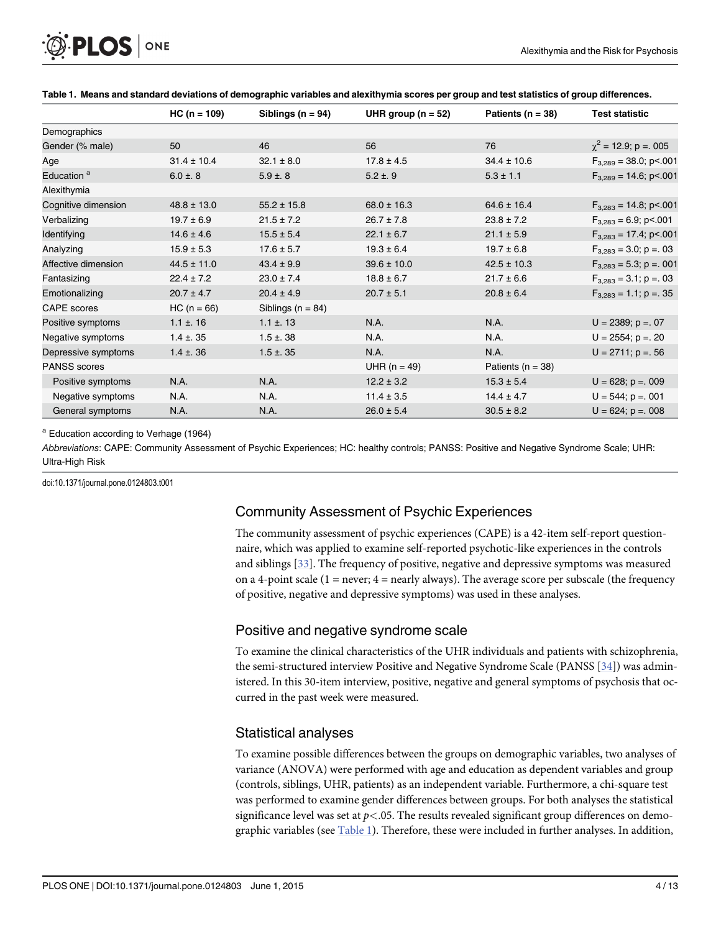<span id="page-3-0"></span>

|                        | $HC (n = 109)$  | Siblings ( $n = 94$ ) | UHR group ( $n = 52$ ) | Patients ( $n = 38$ ) | <b>Test statistic</b>       |
|------------------------|-----------------|-----------------------|------------------------|-----------------------|-----------------------------|
|                        |                 |                       |                        |                       |                             |
| Demographics           |                 |                       |                        |                       |                             |
| Gender (% male)        | 50              | 46                    | 56                     | 76                    | $\chi^2$ = 12.9; p = 005    |
| Age                    | $31.4 \pm 10.4$ | $32.1 \pm 8.0$        | $17.8 \pm 4.5$         | $34.4 \pm 10.6$       | $F_{3,289}$ = 38.0; p < 001 |
| Education <sup>a</sup> | $6.0 \pm .8$    | $5.9 \pm .8$          | $5.2 \pm .9$           | $5.3 \pm 1.1$         | $F_{3,289}$ = 14.6; p < 001 |
| Alexithymia            |                 |                       |                        |                       |                             |
| Cognitive dimension    | $48.8 \pm 13.0$ | $55.2 \pm 15.8$       | $68.0 \pm 16.3$        | $64.6 \pm 16.4$       | $F_{3,283} = 14.8; p<.001$  |
| Verbalizing            | $19.7 \pm 6.9$  | $21.5 \pm 7.2$        | $26.7 \pm 7.8$         | $23.8 \pm 7.2$        | $F_{3,283} = 6.9$ ; p<.001  |
| Identifying            | $14.6 \pm 4.6$  | $15.5 \pm 5.4$        | $22.1 \pm 6.7$         | $21.1 \pm 5.9$        | $F_{3,283} = 17.4$ ; p<.001 |
| Analyzing              | $15.9 \pm 5.3$  | $17.6 \pm 5.7$        | $19.3 \pm 6.4$         | $19.7 \pm 6.8$        | $F_{3,283} = 3.0$ ; p = 03  |
| Affective dimension    | $44.5 \pm 11.0$ | $43.4 \pm 9.9$        | $39.6 \pm 10.0$        | $42.5 \pm 10.3$       | $F_{3,283} = 5.3$ ; p = 001 |
| Fantasizing            | $22.4 \pm 7.2$  | $23.0 \pm 7.4$        | $18.8 \pm 6.7$         | $21.7 \pm 6.6$        | $F_{3,283} = 3.1; p = .03$  |
| Emotionalizing         | $20.7 \pm 4.7$  | $20.4 \pm 4.9$        | $20.7 \pm 5.1$         | $20.8 \pm 6.4$        | $F_{3,283} = 1.1$ ; p = 35  |
| <b>CAPE</b> scores     | $HC (n = 66)$   | Siblings ( $n = 84$ ) |                        |                       |                             |
| Positive symptoms      | $1.1 \pm 0.16$  | $1.1 \pm 1.13$        | N.A.                   | N.A.                  | $U = 2389$ ; $p = 07$       |
| Negative symptoms      | $1.4 \pm .35$   | $1.5 \pm .38$         | N.A.                   | N.A.                  | $U = 2554$ ; $p = 20$       |
| Depressive symptoms    | $1.4 \pm .36$   | $1.5 \pm 0.35$        | N.A.                   | N.A.                  | $U = 2711$ ; $p = .56$      |
| <b>PANSS</b> scores    |                 |                       | UHR $(n = 49)$         | Patients ( $n = 38$ ) |                             |
| Positive symptoms      | N.A.            | N.A.                  | $12.2 \pm 3.2$         | $15.3 \pm 5.4$        | $U = 628$ ; $p = 009$       |
| Negative symptoms      | N.A.            | N.A.                  | $11.4 \pm 3.5$         | $14.4 \pm 4.7$        | $U = 544$ ; $p = 001$       |
| General symptoms       | N.A.            | N.A.                  | $26.0 \pm 5.4$         | $30.5 \pm 8.2$        | $U = 624$ ; $p = 0.008$     |

[Table 1.](#page-2-0) Means and standard deviations of demographic variables and alexithymia scores per group and test statistics of group differences.

a Education according to Verhage (1964)

Abbreviations: CAPE: Community Assessment of Psychic Experiences; HC: healthy controls; PANSS: Positive and Negative Syndrome Scale; UHR: Ultra-High Risk

doi:10.1371/journal.pone.0124803.t001

## Community Assessment of Psychic Experiences

The community assessment of psychic experiences (CAPE) is a 42-item self-report questionnaire, which was applied to examine self-reported psychotic-like experiences in the controls and siblings [[33](#page-12-0)]. The frequency of positive, negative and depressive symptoms was measured on a 4-point scale  $(1 = never; 4 = nearly always)$ . The average score per subscale (the frequency of positive, negative and depressive symptoms) was used in these analyses.

## Positive and negative syndrome scale

To examine the clinical characteristics of the UHR individuals and patients with schizophrenia, the semi-structured interview Positive and Negative Syndrome Scale (PANSS [[34](#page-12-0)]) was administered. In this 30-item interview, positive, negative and general symptoms of psychosis that occurred in the past week were measured.

## Statistical analyses

To examine possible differences between the groups on demographic variables, two analyses of variance (ANOVA) were performed with age and education as dependent variables and group (controls, siblings, UHR, patients) as an independent variable. Furthermore, a chi-square test was performed to examine gender differences between groups. For both analyses the statistical significance level was set at  $p<.05$ . The results revealed significant group differences on demographic variables (see  $Table 1$ ). Therefore, these were included in further analyses. In addition,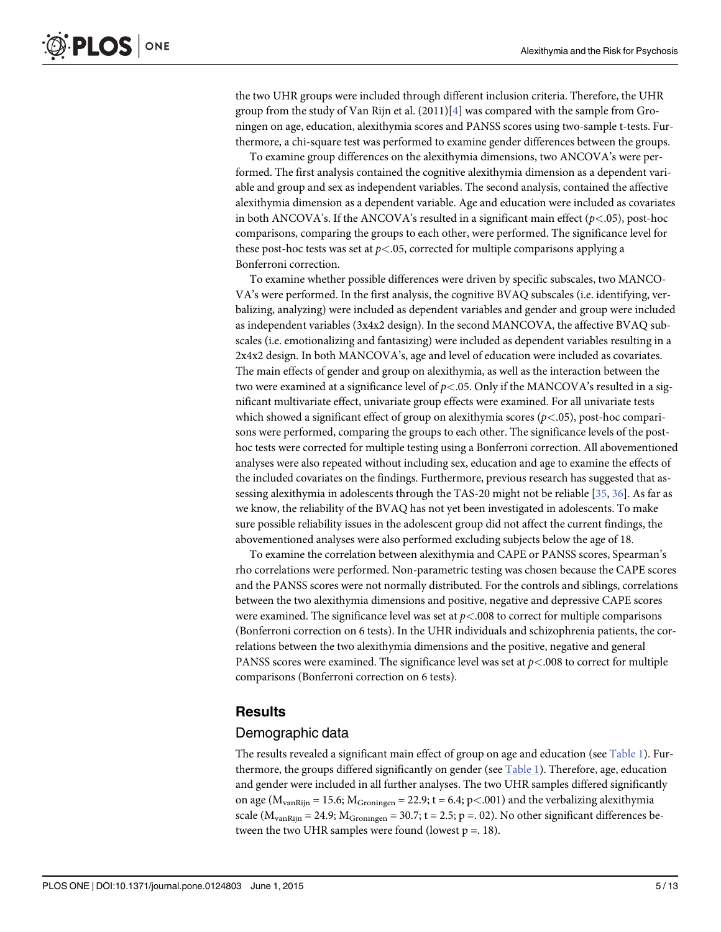<span id="page-4-0"></span>the two UHR groups were included through different inclusion criteria. Therefore, the UHR group from the study of Van Rijn et al.  $(2011)[4]$  $(2011)[4]$  $(2011)[4]$  was compared with the sample from Groningen on age, education, alexithymia scores and PANSS scores using two-sample t-tests. Furthermore, a chi-square test was performed to examine gender differences between the groups.

To examine group differences on the alexithymia dimensions, two ANCOVA's were performed. The first analysis contained the cognitive alexithymia dimension as a dependent variable and group and sex as independent variables. The second analysis, contained the affective alexithymia dimension as a dependent variable. Age and education were included as covariates in both ANCOVA's. If the ANCOVA's resulted in a significant main effect ( $p$ <.05), post-hoc comparisons, comparing the groups to each other, were performed. The significance level for these post-hoc tests was set at  $p < 0.05$ , corrected for multiple comparisons applying a Bonferroni correction.

To examine whether possible differences were driven by specific subscales, two MANCO-VA's were performed. In the first analysis, the cognitive BVAQ subscales (i.e. identifying, verbalizing, analyzing) were included as dependent variables and gender and group were included as independent variables (3x4x2 design). In the second MANCOVA, the affective BVAQ subscales (i.e. emotionalizing and fantasizing) were included as dependent variables resulting in a 2x4x2 design. In both MANCOVA's, age and level of education were included as covariates. The main effects of gender and group on alexithymia, as well as the interaction between the two were examined at a significance level of  $p$ <.05. Only if the MANCOVA's resulted in a significant multivariate effect, univariate group effects were examined. For all univariate tests which showed a significant effect of group on alexithymia scores ( $p$ <.05), post-hoc comparisons were performed, comparing the groups to each other. The significance levels of the posthoc tests were corrected for multiple testing using a Bonferroni correction. All abovementioned analyses were also repeated without including sex, education and age to examine the effects of the included covariates on the findings. Furthermore, previous research has suggested that assessing alexithymia in adolescents through the TAS-20 might not be reliable [[35,](#page-12-0) [36\]](#page-12-0). As far as we know, the reliability of the BVAQ has not yet been investigated in adolescents. To make sure possible reliability issues in the adolescent group did not affect the current findings, the abovementioned analyses were also performed excluding subjects below the age of 18.

To examine the correlation between alexithymia and CAPE or PANSS scores, Spearman's rho correlations were performed. Non-parametric testing was chosen because the CAPE scores and the PANSS scores were not normally distributed. For the controls and siblings, correlations between the two alexithymia dimensions and positive, negative and depressive CAPE scores were examined. The significance level was set at  $p<0.008$  to correct for multiple comparisons (Bonferroni correction on 6 tests). In the UHR individuals and schizophrenia patients, the correlations between the two alexithymia dimensions and the positive, negative and general PANSS scores were examined. The significance level was set at  $p<0.008$  to correct for multiple comparisons (Bonferroni correction on 6 tests).

## **Results**

#### Demographic data

The results revealed a significant main effect of group on age and education (see [Table 1\)](#page-3-0). Furthermore, the groups differed significantly on gender (see  $Table 1$ ). Therefore, age, education and gender were included in all further analyses. The two UHR samples differed significantly on age ( $M_{vanRijn}$  = 15.6;  $M_{Groningen}$  = 22.9; t = 6.4; p<.001) and the verbalizing alexithymia scale ( $M_{vanRijn}$  = 24.9;  $M_{Groningen}$  = 30.7; t = 2.5; p = 02). No other significant differences between the two UHR samples were found (lowest  $p = 0.18$ ).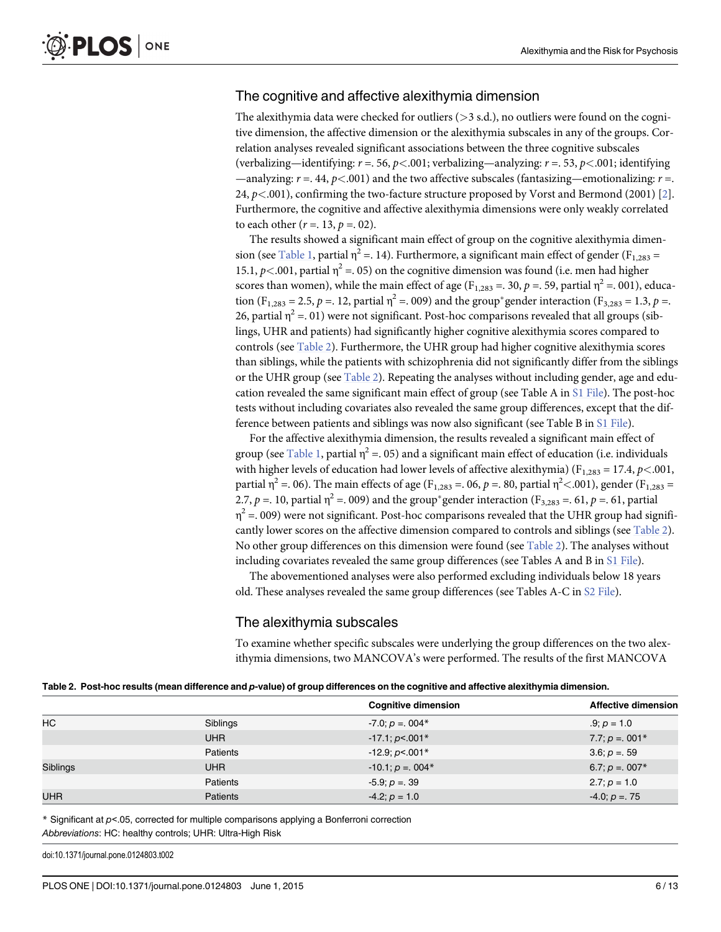## The cognitive and affective alexithymia dimension

The alexithymia data were checked for outliers  $(>3 \text{ s.d.})$ , no outliers were found on the cognitive dimension, the affective dimension or the alexithymia subscales in any of the groups. Correlation analyses revealed significant associations between the three cognitive subscales (verbalizing—identifying:  $r = .56$ ,  $p < .001$ ; verbalizing—analyzing:  $r = .53$ ,  $p < .001$ ; identifying —analyzing:  $r = 0.44$ ,  $p < 0.001$  and the two affective subscales (fantasizing—emotionalizing:  $r =$ . [2](#page-10-0)4,  $p$ <.001), confirming the two-facture structure proposed by Vorst and Bermond (2001) [2]. Furthermore, the cognitive and affective alexithymia dimensions were only weakly correlated to each other ( $r = 13$ ,  $p = 02$ ).

The results showed a significant main effect of group on the cognitive alexithymia dimen-sion (see [Table 1,](#page-3-0) partial  $\eta^2$  =. 14). Furthermore, a significant main effect of gender (F<sub>1,283</sub> = 15.1,  $p<.001$ , partial  $\eta^2 = .05$ ) on the cognitive dimension was found (i.e. men had higher scores than women), while the main effect of age ( $F_{1,283} = 0.30$ ,  $p = 0.59$ , partial  $\eta^2 = 0.001$ ), education (F<sub>1,283</sub> = 2.5, *p* = 12, partial  $\eta^2$  = 009) and the group\*gender interaction (F<sub>3,283</sub> = 1.3, *p* = 0. 26, partial  $\eta^2$  =. 01) were not significant. Post-hoc comparisons revealed that all groups (siblings, UHR and patients) had significantly higher cognitive alexithymia scores compared to controls (see Table 2). Furthermore, the UHR group had higher cognitive alexithymia scores than siblings, while the patients with schizophrenia did not significantly differ from the siblings or the UHR group (see Table 2). Repeating the analyses without including gender, age and education revealed the same significant main effect of group (see Table A in [S1 File\)](#page-9-0). The post-hoc tests without including covariates also revealed the same group differences, except that the dif-ference between patients and siblings was now also significant (see Table B in [S1 File](#page-9-0)).

For the affective alexithymia dimension, the results revealed a significant main effect of group (see [Table 1,](#page-3-0) partial  $\eta^2$  = . 05) and a significant main effect of education (i.e. individuals with higher levels of education had lower levels of affective alexithymia) ( $F_{1,283} = 17.4$ ,  $p < .001$ , partial  $\eta^2$  = 0.06). The main effects of age (F<sub>1,283</sub> = 0.06, p = 80, partial  $\eta^2$  < 0.01), gender (F<sub>1,283</sub> = 2.7, p = 10, partial  $\eta^2$  = 0.00) and the group\* gander interaction (F<sub>1</sub> = 61, p = 61, partial 2.7,  $p =$ . 10, partial  $\eta^2 =$ . 009) and the group\*gender interaction (F<sub>3,283</sub> = 61, p = 61, partial  $\eta^2$  = 009) were not significant. Post-hoc comparisons revealed that the UHR group had significantly lower scores on the affective dimension compared to controls and siblings (see Table 2). No other group differences on this dimension were found (see Table 2). The analyses without including covariates revealed the same group differences (see Tables A and B in  $S1$  File).

The abovementioned analyses were also performed excluding individuals below 18 years old. These analyses revealed the same group differences (see Tables A-C in S<sub>2</sub> File).

#### The alexithymia subscales

To examine whether specific subscales were underlying the group differences on the two alexithymia dimensions, two MANCOVA's were performed. The results of the first MANCOVA

|            |                 | <b>Cognitive dimension</b> | <b>Affective dimension</b> |
|------------|-----------------|----------------------------|----------------------------|
| HC         | Siblings        | $-7.0$ ; $p = 0.004*$      | $.9; p = 1.0$              |
|            | <b>UHR</b>      | $-17.1$ ; $p < 001*$       | 7.7; $p = 0.01*$           |
|            | <b>Patients</b> | $-12.9$ ; $p < 0.001*$     | $3.6; p = 59$              |
| Siblings   | <b>UHR</b>      | $-10.1; p = 0.004*$        | 6.7; $p = 0.07*$           |
|            | Patients        | $-5.9; p = 39$             | 2.7; $p = 1.0$             |
| <b>UHR</b> | <b>Patients</b> | $-4.2; p = 1.0$            | $-4.0; p = 75$             |

| Table 2. Post-hoc results (mean difference and p-value) of group differences on the cognitive and affective alexithymia dimension. |  |
|------------------------------------------------------------------------------------------------------------------------------------|--|
|------------------------------------------------------------------------------------------------------------------------------------|--|

\* Significant at p<.05, corrected for multiple comparisons applying a Bonferroni correction Abbreviations: HC: healthy controls; UHR: Ultra-High Risk

doi:10.1371/journal.pone.0124803.t002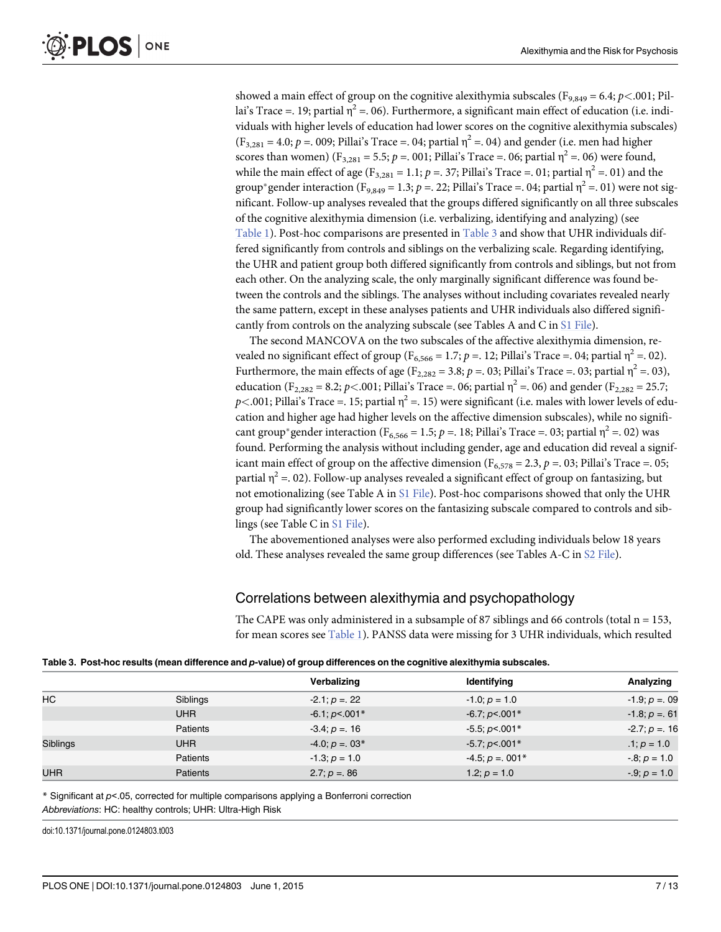showed a main effect of group on the cognitive alexithymia subscales ( $F_{9,849} = 6.4$ ;  $p < .001$ ; Pillai's Trace =. 19; partial  $\eta^2$  =. 06). Furthermore, a significant main effect of education (i.e. individuals with higher levels of education had lower scores on the cognitive alexithymia subscales)  $(F_{3,281} = 4.0; p = .009;$  Pillai's Trace = 0.4; partial  $\eta^2 = .04$ ) and gender (i.e. men had higher scores than women) (F<sub>3,281</sub> = 5.5; p = 0.01; Pillai's Trace = 0.6; partial  $\eta^2$  = 0.06) were found, while the main effect of age (F<sub>3,281</sub> = 1.1;  $p = 0.37$ ; Pillai's Trace = 0.1; partial  $\eta^2 = 0.01$ ) and the group<sup>\*</sup> gender interaction (F<sub>9,849</sub> = 1.3;  $p = 0.22$ ; Pillai's Trace = 0.4; partial  $\eta^2 = 0.01$ ) were not significant. Follow-up analyses revealed that the groups differed significantly on all three subscales of the cognitive alexithymia dimension (i.e. verbalizing, identifying and analyzing) (see [Table 1](#page-3-0)). Post-hoc comparisons are presented in Table 3 and show that UHR individuals differed significantly from controls and siblings on the verbalizing scale. Regarding identifying, the UHR and patient group both differed significantly from controls and siblings, but not from each other. On the analyzing scale, the only marginally significant difference was found between the controls and the siblings. The analyses without including covariates revealed nearly the same pattern, except in these analyses patients and UHR individuals also differed significantly from controls on the analyzing subscale (see Tables A and C in [S1 File\)](#page-9-0).

The second MANCOVA on the two subscales of the affective alexithymia dimension, revealed no significant effect of group ( $F_{6,566} = 1.7$ ;  $p = 0.12$ ; Pillai's Trace = 0.4; partial  $\eta^2 = 0.02$ ). Furthermore, the main effects of age (F<sub>2,282</sub> = 3.8; p = 0.3; Pillai's Trace = 0.3; partial  $\eta^2$  = 0.3), education (F<sub>2,282</sub> = 8.2; *p*<.001; Pillai's Trace =. 06; partial  $\eta^2$  =. 06) and gender (F<sub>2,282</sub> = 25.7;  $p$ <.001; Pillai's Trace =. 15; partial  $\eta^2$  =. 15) were significant (i.e. males with lower levels of education and higher age had higher levels on the affective dimension subscales), while no significant group\*gender interaction ( $F_{6,566} = 1.5$ ; p = 18; Pillai's Trace = 03; partial  $\eta^2$  = 02) was found. Performing the analysis without including gender, age and education did reveal a significant main effect of group on the affective dimension ( $F_{6,578} = 2.3$ ,  $p = .03$ ; Pillai's Trace = .05; partial  $\eta^2$  =. 02). Follow-up analyses revealed a significant effect of group on fantasizing, but not emotionalizing (see Table A in [S1 File](#page-9-0)). Post-hoc comparisons showed that only the UHR group had significantly lower scores on the fantasizing subscale compared to controls and siblings (see Table C in [S1 File](#page-9-0)).

The abovementioned analyses were also performed excluding individuals below 18 years old. These analyses revealed the same group differences (see Tables A-C in [S2 File](#page-10-0)).

## Correlations between alexithymia and psychopathology

The CAPE was only administered in a subsample of 87 siblings and 66 controls (total  $n = 153$ , for mean scores see [Table 1\)](#page-3-0). PANSS data were missing for 3 UHR individuals, which resulted

|  | Table 5. If Ost-Not results (Mean unterence and p-value) or group unterences on the cognitive alexitrigina substates. |  |  |
|--|-----------------------------------------------------------------------------------------------------------------------|--|--|
|  |                                                                                                                       |  |  |

|            |                 | Verbalizing         | Identifying         | Analyzing        |
|------------|-----------------|---------------------|---------------------|------------------|
| <b>HC</b>  | Siblings        | $-2.1$ ; $p = 22$   | $-1.0; p = 1.0$     | $-1.9; p = 0.09$ |
|            | <b>UHR</b>      | $-6.1$ ; $p < 001*$ | $-6.7$ ; $p < 001*$ | $-1.8; p = 61$   |
|            | Patients        | $-3.4$ ; $p = 16$   | $-5.5$ ; $p < 001*$ | $-2.7; p = 16$   |
| Siblings   | <b>UHR</b>      | $-4.0; p = 0.03*$   | $-5.7$ ; $p < 001*$ | $.1; p = 1.0$    |
|            | Patients        | $-1.3; p = 1.0$     | $-4.5$ ; $p = 001*$ | $-.8; p = 1.0$   |
| <b>UHR</b> | <b>Patients</b> | $2.7; p = 86$       | 1.2; $p = 1.0$      | $-.9; p = 1.0$   |

 $T$  a. Post-hoc results (means) of group differences on the cognitive alexithymia subscales.

 $*$  Significant at  $p$ <.05, corrected for multiple comparisons applying a Bonferroni correction

Abbreviations: HC: healthy controls; UHR: Ultra-High Risk

doi:10.1371/journal.pone.0124803.t003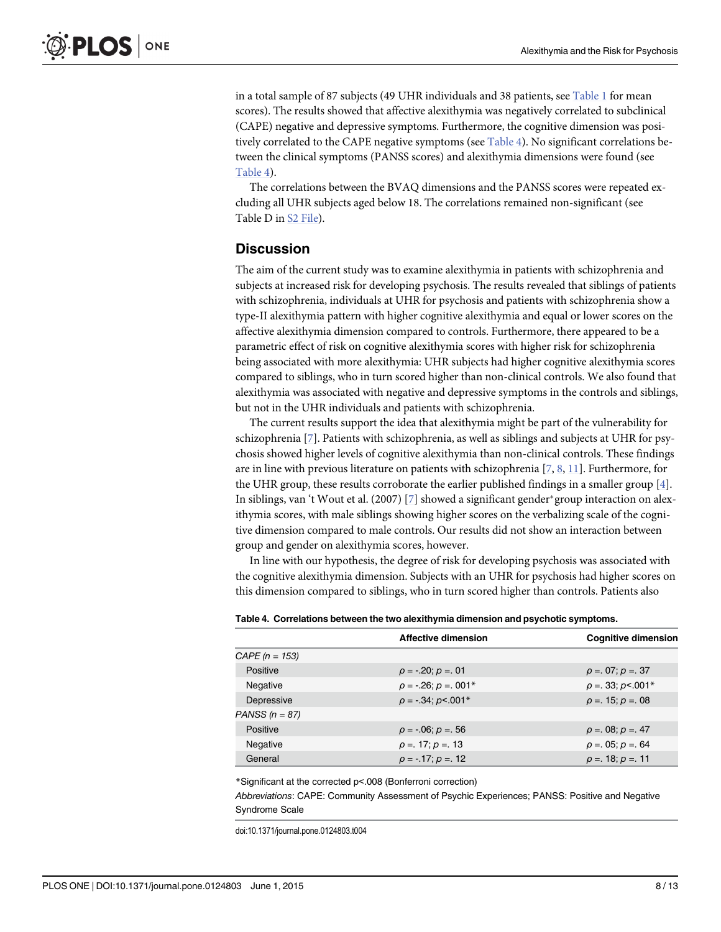<span id="page-7-0"></span>in a total sample of 87 subjects (49 UHR individuals and 38 patients, see [Table 1](#page-3-0) for mean scores). The results showed that affective alexithymia was negatively correlated to subclinical (CAPE) negative and depressive symptoms. Furthermore, the cognitive dimension was positively correlated to the CAPE negative symptoms (see Table 4). No significant correlations between the clinical symptoms (PANSS scores) and alexithymia dimensions were found (see Table 4).

The correlations between the BVAQ dimensions and the PANSS scores were repeated excluding all UHR subjects aged below 18. The correlations remained non-significant (see Table D in S<sub>2</sub> File).

### **Discussion**

The aim of the current study was to examine alexithymia in patients with schizophrenia and subjects at increased risk for developing psychosis. The results revealed that siblings of patients with schizophrenia, individuals at UHR for psychosis and patients with schizophrenia show a type-II alexithymia pattern with higher cognitive alexithymia and equal or lower scores on the affective alexithymia dimension compared to controls. Furthermore, there appeared to be a parametric effect of risk on cognitive alexithymia scores with higher risk for schizophrenia being associated with more alexithymia: UHR subjects had higher cognitive alexithymia scores compared to siblings, who in turn scored higher than non-clinical controls. We also found that alexithymia was associated with negative and depressive symptoms in the controls and siblings, but not in the UHR individuals and patients with schizophrenia.

The current results support the idea that alexithymia might be part of the vulnerability for schizophrenia [\[7](#page-11-0)]. Patients with schizophrenia, as well as siblings and subjects at UHR for psychosis showed higher levels of cognitive alexithymia than non-clinical controls. These findings are in line with previous literature on patients with schizophrenia [[7,](#page-11-0) [8,](#page-11-0) [11\]](#page-11-0). Furthermore, for the UHR group, these results corroborate the earlier published findings in a smaller group [[4](#page-10-0)]. In siblings, van 't Wout et al. (2007) [[7\]](#page-11-0) showed a significant gender\*group interaction on alexithymia scores, with male siblings showing higher scores on the verbalizing scale of the cognitive dimension compared to male controls. Our results did not show an interaction between group and gender on alexithymia scores, however.

In line with our hypothesis, the degree of risk for developing psychosis was associated with the cognitive alexithymia dimension. Subjects with an UHR for psychosis had higher scores on this dimension compared to siblings, who in turn scored higher than controls. Patients also

|                  | <b>Affective dimension</b>     | <b>Cognitive dimension</b>    |
|------------------|--------------------------------|-------------------------------|
| $CAPE (n = 153)$ |                                |                               |
| Positive         | $\rho = -.20; \rho = .01$      | $\rho = 0.07$ ; $\rho = 0.37$ |
| Negative         | $\rho = -.26$ ; $\rho = .001*$ | $\rho = 33$ ; $p < 001*$      |
| Depressive       | $\rho = -.34$ ; $p < .001*$    | $\rho = 15$ ; $\rho = 08$     |
| PANSS $(n = 87)$ |                                |                               |
| Positive         | $\rho = -06; \rho = 56$        | $\rho = 0.08$ ; $\rho = 0.47$ |
| Negative         | $\rho = 17$ ; $\rho = 13$      | $\rho = 0.05$ ; $\rho = 64$   |
| General          | $\rho = -17$ ; $p = 12$        | $\rho = 18$ ; $\rho = 11$     |

#### Table 4. Correlations between the two alexithymia dimension and psychotic symptoms.

\*Significant at the corrected p<.008 (Bonferroni correction)

Abbreviations: CAPE: Community Assessment of Psychic Experiences; PANSS: Positive and Negative Syndrome Scale

doi:10.1371/journal.pone.0124803.t004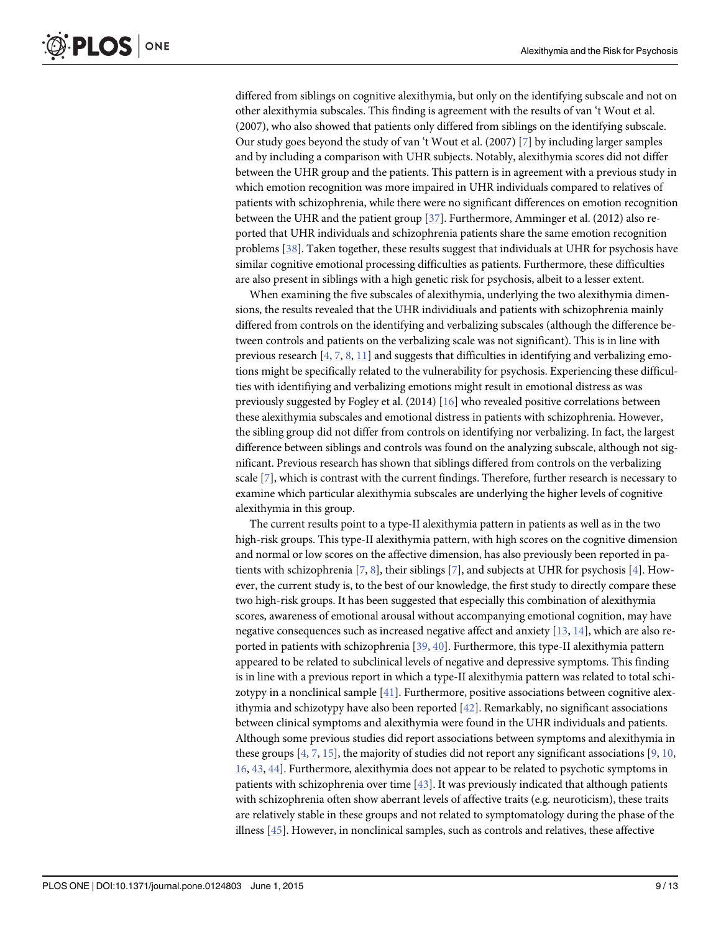<span id="page-8-0"></span>differed from siblings on cognitive alexithymia, but only on the identifying subscale and not on other alexithymia subscales. This finding is agreement with the results of van 't Wout et al. (2007), who also showed that patients only differed from siblings on the identifying subscale. Our study goes beyond the study of van 't Wout et al. (2007)  $[7]$  $[7]$  by including larger samples and by including a comparison with UHR subjects. Notably, alexithymia scores did not differ between the UHR group and the patients. This pattern is in agreement with a previous study in which emotion recognition was more impaired in UHR individuals compared to relatives of patients with schizophrenia, while there were no significant differences on emotion recognition between the UHR and the patient group [\[37\]](#page-12-0). Furthermore, Amminger et al. (2012) also reported that UHR individuals and schizophrenia patients share the same emotion recognition problems [[38\]](#page-12-0). Taken together, these results suggest that individuals at UHR for psychosis have similar cognitive emotional processing difficulties as patients. Furthermore, these difficulties are also present in siblings with a high genetic risk for psychosis, albeit to a lesser extent.

When examining the five subscales of alexithymia, underlying the two alexithymia dimensions, the results revealed that the UHR individiuals and patients with schizophrenia mainly differed from controls on the identifying and verbalizing subscales (although the difference between controls and patients on the verbalizing scale was not significant). This is in line with previous research  $[4, 7, 8, 11]$  $[4, 7, 8, 11]$  $[4, 7, 8, 11]$  $[4, 7, 8, 11]$  $[4, 7, 8, 11]$  $[4, 7, 8, 11]$  $[4, 7, 8, 11]$  $[4, 7, 8, 11]$  and suggests that difficulties in identifying and verbalizing emotions might be specifically related to the vulnerability for psychosis. Experiencing these difficulties with identifiying and verbalizing emotions might result in emotional distress as was previously suggested by Fogley et al. (2014) [\[16\]](#page-11-0) who revealed positive correlations between these alexithymia subscales and emotional distress in patients with schizophrenia. However, the sibling group did not differ from controls on identifying nor verbalizing. In fact, the largest difference between siblings and controls was found on the analyzing subscale, although not significant. Previous research has shown that siblings differed from controls on the verbalizing scale [[7](#page-11-0)], which is contrast with the current findings. Therefore, further research is necessary to examine which particular alexithymia subscales are underlying the higher levels of cognitive alexithymia in this group.

The current results point to a type-II alexithymia pattern in patients as well as in the two high-risk groups. This type-II alexithymia pattern, with high scores on the cognitive dimension and normal or low scores on the affective dimension, has also previously been reported in patients with schizophrenia  $[7, 8]$  $[7, 8]$  $[7, 8]$  $[7, 8]$ , their siblings  $[7]$  $[7]$ , and subjects at UHR for psychosis  $[4]$  $[4]$ . However, the current study is, to the best of our knowledge, the first study to directly compare these two high-risk groups. It has been suggested that especially this combination of alexithymia scores, awareness of emotional arousal without accompanying emotional cognition, may have negative consequences such as increased negative affect and anxiety  $[13, 14]$  $[13, 14]$  $[13, 14]$  $[13, 14]$  $[13, 14]$ , which are also reported in patients with schizophrenia [[39](#page-12-0), [40](#page-12-0)]. Furthermore, this type-II alexithymia pattern appeared to be related to subclinical levels of negative and depressive symptoms. This finding is in line with a previous report in which a type-II alexithymia pattern was related to total schizotypy in a nonclinical sample [[41](#page-12-0)]. Furthermore, positive associations between cognitive alexithymia and schizotypy have also been reported [[42](#page-12-0)]. Remarkably, no significant associations between clinical symptoms and alexithymia were found in the UHR individuals and patients. Although some previous studies did report associations between symptoms and alexithymia in these groups  $[4, 7, 15]$  $[4, 7, 15]$  $[4, 7, 15]$  $[4, 7, 15]$  $[4, 7, 15]$  $[4, 7, 15]$  $[4, 7, 15]$ , the majority of studies did not report any significant associations  $[9, 10]$  $[9, 10]$ , [16,](#page-11-0) [43,](#page-12-0) [44\]](#page-12-0). Furthermore, alexithymia does not appear to be related to psychotic symptoms in patients with schizophrenia over time [[43](#page-12-0)]. It was previously indicated that although patients with schizophrenia often show aberrant levels of affective traits (e.g. neuroticism), these traits are relatively stable in these groups and not related to symptomatology during the phase of the illness [\[45\]](#page-12-0). However, in nonclinical samples, such as controls and relatives, these affective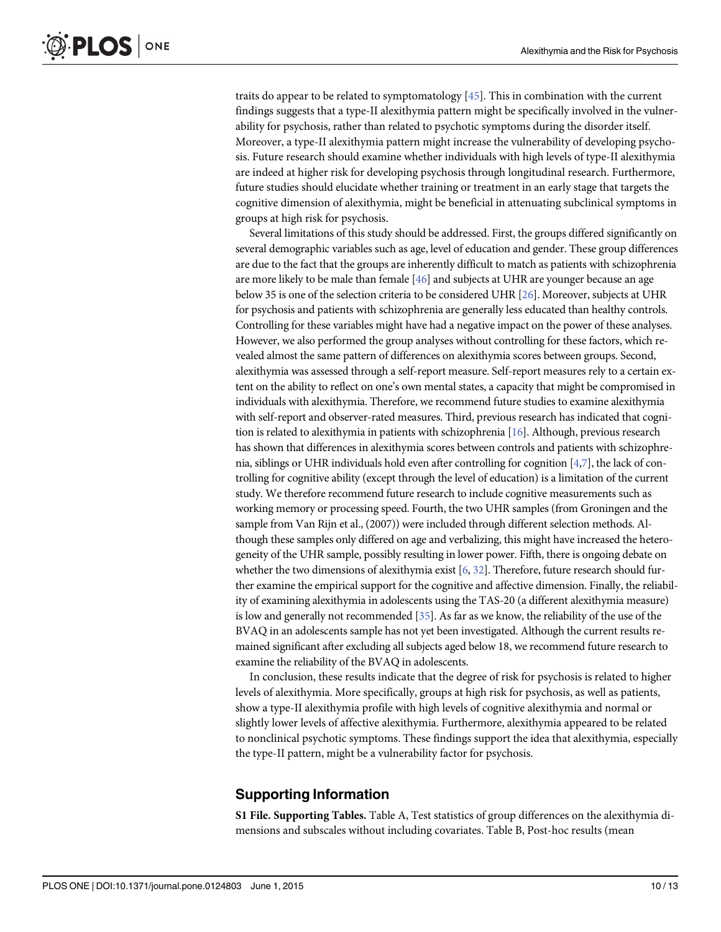<span id="page-9-0"></span>traits do appear to be related to symptomatology [[45](#page-12-0)]. This in combination with the current findings suggests that a type-II alexithymia pattern might be specifically involved in the vulnerability for psychosis, rather than related to psychotic symptoms during the disorder itself. Moreover, a type-II alexithymia pattern might increase the vulnerability of developing psychosis. Future research should examine whether individuals with high levels of type-II alexithymia are indeed at higher risk for developing psychosis through longitudinal research. Furthermore, future studies should elucidate whether training or treatment in an early stage that targets the cognitive dimension of alexithymia, might be beneficial in attenuating subclinical symptoms in groups at high risk for psychosis.

Several limitations of this study should be addressed. First, the groups differed significantly on several demographic variables such as age, level of education and gender. These group differences are due to the fact that the groups are inherently difficult to match as patients with schizophrenia are more likely to be male than female [\[46](#page-12-0)] and subjects at UHR are younger because an age below 35 is one of the selection criteria to be considered UHR [[26\]](#page-11-0). Moreover, subjects at UHR for psychosis and patients with schizophrenia are generally less educated than healthy controls. Controlling for these variables might have had a negative impact on the power of these analyses. However, we also performed the group analyses without controlling for these factors, which revealed almost the same pattern of differences on alexithymia scores between groups. Second, alexithymia was assessed through a self-report measure. Self-report measures rely to a certain extent on the ability to reflect on one's own mental states, a capacity that might be compromised in individuals with alexithymia. Therefore, we recommend future studies to examine alexithymia with self-report and observer-rated measures. Third, previous research has indicated that cognition is related to alexithymia in patients with schizophrenia [[16](#page-11-0)]. Although, previous research has shown that differences in alexithymia scores between controls and patients with schizophrenia, siblings or UHR individuals hold even after controlling for cognition [\[4](#page-10-0)[,7\]](#page-11-0), the lack of controlling for cognitive ability (except through the level of education) is a limitation of the current study. We therefore recommend future research to include cognitive measurements such as working memory or processing speed. Fourth, the two UHR samples (from Groningen and the sample from Van Rijn et al., (2007)) were included through different selection methods. Although these samples only differed on age and verbalizing, this might have increased the heterogeneity of the UHR sample, possibly resulting in lower power. Fifth, there is ongoing debate on whether the two dimensions of alexithymia exist  $[6, 32]$  $[6, 32]$  $[6, 32]$  $[6, 32]$  $[6, 32]$ . Therefore, future research should further examine the empirical support for the cognitive and affective dimension. Finally, the reliability of examining alexithymia in adolescents using the TAS-20 (a different alexithymia measure) is low and generally not recommended [[35](#page-12-0)]. As far as we know, the reliability of the use of the BVAQ in an adolescents sample has not yet been investigated. Although the current results remained significant after excluding all subjects aged below 18, we recommend future research to examine the reliability of the BVAQ in adolescents.

In conclusion, these results indicate that the degree of risk for psychosis is related to higher levels of alexithymia. More specifically, groups at high risk for psychosis, as well as patients, show a type-II alexithymia profile with high levels of cognitive alexithymia and normal or slightly lower levels of affective alexithymia. Furthermore, alexithymia appeared to be related to nonclinical psychotic symptoms. These findings support the idea that alexithymia, especially the type-II pattern, might be a vulnerability factor for psychosis.

## Supporting Information

[S1 File.](http://www.plosone.org/article/fetchSingleRepresentation.action?uri=info:doi/10.1371/journal.pone.0124803.s001) Supporting Tables. Table A, Test statistics of group differences on the alexithymia dimensions and subscales without including covariates. Table B, Post-hoc results (mean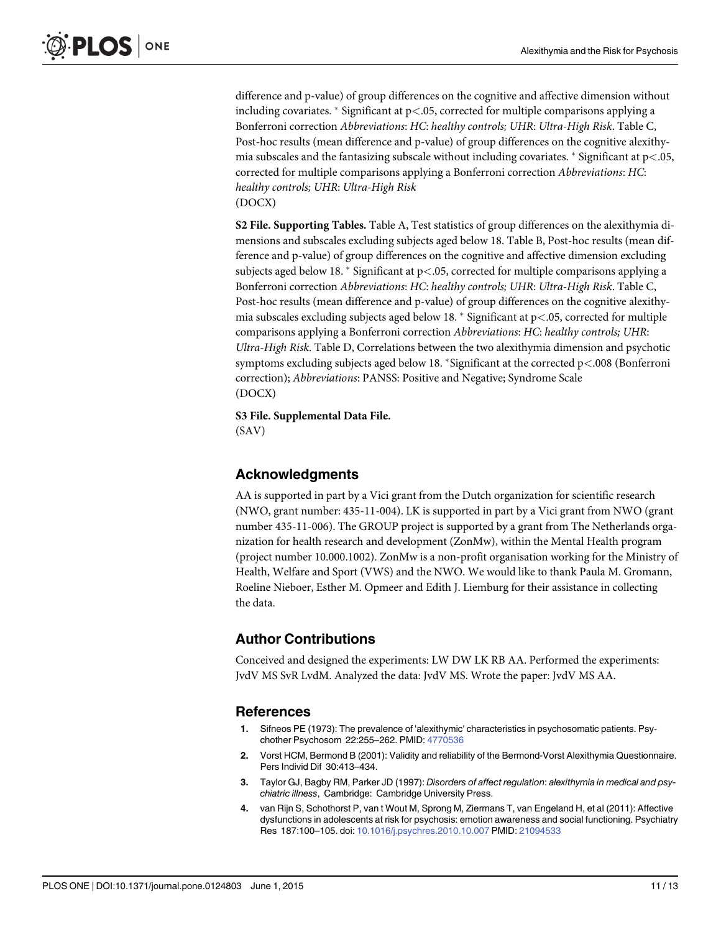<span id="page-10-0"></span>difference and p-value) of group differences on the cognitive and affective dimension without including covariates.  $*$  Significant at  $p < 0.05$ , corrected for multiple comparisons applying a Bonferroni correction Abbreviations: HC: healthy controls; UHR: Ultra-High Risk. Table C, Post-hoc results (mean difference and p-value) of group differences on the cognitive alexithymia subscales and the fantasizing subscale without including covariates.  $*$  Significant at  $p < .05$ , corrected for multiple comparisons applying a Bonferroni correction Abbreviations: HC: healthy controls; UHR: Ultra-High Risk (DOCX)

[S2 File.](http://www.plosone.org/article/fetchSingleRepresentation.action?uri=info:doi/10.1371/journal.pone.0124803.s002) Supporting Tables. Table A, Test statistics of group differences on the alexithymia dimensions and subscales excluding subjects aged below 18. Table B, Post-hoc results (mean difference and p-value) of group differences on the cognitive and affective dimension excluding subjects aged below 18.  $*$  Significant at p<.05, corrected for multiple comparisons applying a Bonferroni correction Abbreviations: HC: healthy controls; UHR: Ultra-High Risk. Table C, Post-hoc results (mean difference and p-value) of group differences on the cognitive alexithymia subscales excluding subjects aged below 18.  $*$  Significant at  $p<.05$ , corrected for multiple comparisons applying a Bonferroni correction Abbreviations: HC: healthy controls; UHR: Ultra-High Risk. Table D, Correlations between the two alexithymia dimension and psychotic symptoms excluding subjects aged below 18. \*Significant at the corrected  $p$ <.008 (Bonferroni correction); Abbreviations: PANSS: Positive and Negative; Syndrome Scale (DOCX)

 $\frac{1}{2}$   $\frac{1}{2}$   $\frac{1}{2}$   $\frac{1}{2}$   $\frac{1}{2}$   $\frac{1}{2}$   $\frac{1}{2}$   $\frac{1}{2}$   $\frac{1}{2}$   $\frac{1}{2}$   $\frac{1}{2}$   $\frac{1}{2}$   $\frac{1}{2}$   $\frac{1}{2}$   $\frac{1}{2}$   $\frac{1}{2}$   $\frac{1}{2}$   $\frac{1}{2}$   $\frac{1}{2}$   $\frac{1}{2}$   $\frac{1}{2}$   $\frac{1}{2}$ 

(SAV)

## Acknowledgments

AA is supported in part by a Vici grant from the Dutch organization for scientific research (NWO, grant number: 435-11-004). LK is supported in part by a Vici grant from NWO (grant number 435-11-006). The GROUP project is supported by a grant from The Netherlands organization for health research and development (ZonMw), within the Mental Health program (project number 10.000.1002). ZonMw is a non-profit organisation working for the Ministry of Health, Welfare and Sport (VWS) and the NWO. We would like to thank Paula M. Gromann, Roeline Nieboer, Esther M. Opmeer and Edith J. Liemburg for their assistance in collecting the data.

## Author Contributions

Conceived and designed the experiments: LW DW LK RB AA. Performed the experiments: JvdV MS SvR LvdM. Analyzed the data: JvdV MS. Wrote the paper: JvdV MS AA.

## References

- [1.](#page-1-0) Sifneos PE (1973): The prevalence of 'alexithymic' characteristics in psychosomatic patients. Psychother Psychosom 22:255–262. PMID: [4770536](http://www.ncbi.nlm.nih.gov/pubmed/4770536)
- [2.](#page-1-0) Vorst HCM, Bermond B (2001): Validity and reliability of the Bermond-Vorst Alexithymia Questionnaire. Pers Individ Dif 30:413–434.
- [3.](#page-1-0) Taylor GJ, Bagby RM, Parker JD (1997): Disorders of affect regulation: alexithymia in medical and psychiatric illness, Cambridge: Cambridge University Press.
- [4.](#page-1-0) van Rijn S, Schothorst P, van t Wout M, Sprong M, Ziermans T, van Engeland H, et al (2011): Affective dysfunctions in adolescents at risk for psychosis: emotion awareness and social functioning. Psychiatry Res 187:100–105. doi: [10.1016/j.psychres.2010.10.007](http://dx.doi.org/10.1016/j.psychres.2010.10.007) PMID: [21094533](http://www.ncbi.nlm.nih.gov/pubmed/21094533)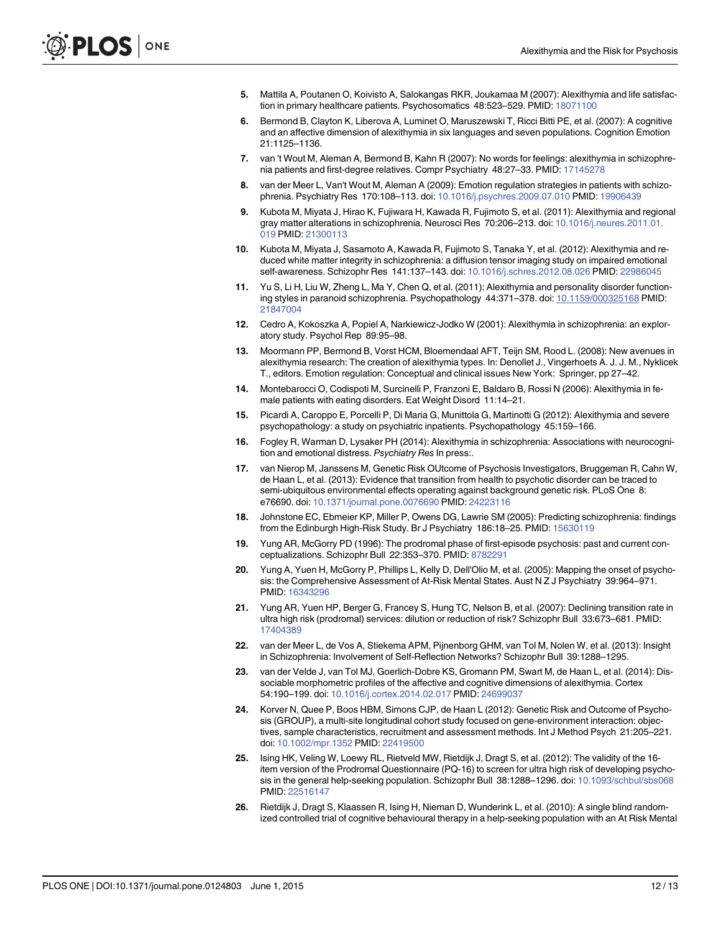- <span id="page-11-0"></span>[5.](#page-1-0) Mattila A, Poutanen O, Koivisto A, Salokangas RKR, Joukamaa M (2007): Alexithymia and life satisfaction in primary healthcare patients. Psychosomatics 48:523–529. PMID: [18071100](http://www.ncbi.nlm.nih.gov/pubmed/18071100)
- [6.](#page-1-0) Bermond B, Clayton K, Liberova A, Luminet O, Maruszewski T, Ricci Bitti PE, et al. (2007): A cognitive and an affective dimension of alexithymia in six languages and seven populations. Cognition Emotion 21:1125–1136.
- [7.](#page-1-0) van 't Wout M, Aleman A, Bermond B, Kahn R (2007): No words for feelings: alexithymia in schizophrenia patients and first-degree relatives. Compr Psychiatry 48:27–33. PMID: [17145278](http://www.ncbi.nlm.nih.gov/pubmed/17145278)
- [8.](#page-1-0) van der Meer L, Van't Wout M, Aleman A (2009): Emotion regulation strategies in patients with schizophrenia. Psychiatry Res 170:108–113. doi: [10.1016/j.psychres.2009.07.010](http://dx.doi.org/10.1016/j.psychres.2009.07.010) PMID: [19906439](http://www.ncbi.nlm.nih.gov/pubmed/19906439)
- [9.](#page-1-0) Kubota M, Miyata J, Hirao K, Fujiwara H, Kawada R, Fujimoto S, et al. (2011): Alexithymia and regional gray matter alterations in schizophrenia. Neurosci Res 70:206–213. doi: [10.1016/j.neures.2011.01.](http://dx.doi.org/10.1016/j.neures.2011.01.019) [019](http://dx.doi.org/10.1016/j.neures.2011.01.019) PMID: [21300113](http://www.ncbi.nlm.nih.gov/pubmed/21300113)
- [10.](#page-8-0) Kubota M, Miyata J, Sasamoto A, Kawada R, Fujimoto S, Tanaka Y, et al. (2012): Alexithymia and reduced white matter integrity in schizophrenia: a diffusion tensor imaging study on impaired emotional self-awareness. Schizophr Res 141:137–143. doi: [10.1016/j.schres.2012.08.026](http://dx.doi.org/10.1016/j.schres.2012.08.026) PMID: [22986045](http://www.ncbi.nlm.nih.gov/pubmed/22986045)
- [11.](#page-7-0) Yu S, Li H, Liu W, Zheng L, Ma Y, Chen Q, et al. (2011): Alexithymia and personality disorder functioning styles in paranoid schizophrenia. Psychopathology 44:371–378. doi: [10.1159/000325168](http://dx.doi.org/10.1159/000325168) PMID: [21847004](http://www.ncbi.nlm.nih.gov/pubmed/21847004)
- [12.](#page-1-0) Cedro A, Kokoszka A, Popiel A, Narkiewicz-Jodko W (2001): Alexithymia in schizophrenia: an exploratory study. Psychol Rep 89:95–98.
- [13.](#page-1-0) Moormann PP, Bermond B, Vorst HCM, Bloemendaal AFT, Teijn SM, Rood L. (2008): New avenues in alexithymia research: The creation of alexithymia types. In: Denollet J., Vingerhoets A. J. J. M., Nyklicek T., editors. Emotion regulation: Conceptual and clinical issues New York: Springer, pp 27–42.
- [14.](#page-1-0) Montebarocci O, Codispoti M, Surcinelli P, Franzoni E, Baldaro B, Rossi N (2006): Alexithymia in female patients with eating disorders. Eat Weight Disord 11:14–21.
- [15.](#page-1-0) Picardi A, Caroppo E, Porcelli P, Di Maria G, Munittola G, Martinotti G (2012): Alexithymia and severe psychopathology: a study on psychiatric inpatients. Psychopathology 45:159–166.
- [16.](#page-1-0) Fogley R, Warman D, Lysaker PH (2014): Alexithymia in schizophrenia: Associations with neurocognition and emotional distress. Psychiatry Res In press:.
- [17.](#page-1-0) van Nierop M, Janssens M, Genetic Risk OUtcome of Psychosis Investigators, Bruggeman R, Cahn W, de Haan L, et al. (2013): Evidence that transition from health to psychotic disorder can be traced to semi-ubiquitous environmental effects operating against background genetic risk. PLoS One 8: e76690. doi: [10.1371/journal.pone.0076690](http://dx.doi.org/10.1371/journal.pone.0076690) PMID: [24223116](http://www.ncbi.nlm.nih.gov/pubmed/24223116)
- [18.](#page-1-0) Johnstone EC, Ebmeier KP, Miller P, Owens DG, Lawrie SM (2005): Predicting schizophrenia: findings from the Edinburgh High-Risk Study. Br J Psychiatry 186:18–25. PMID: [15630119](http://www.ncbi.nlm.nih.gov/pubmed/15630119)
- [19.](#page-1-0) Yung AR, McGorry PD (1996): The prodromal phase of first-episode psychosis: past and current conceptualizations. Schizophr Bull 22:353–370. PMID: [8782291](http://www.ncbi.nlm.nih.gov/pubmed/8782291)
- [20.](#page-1-0) Yung A, Yuen H, McGorry P, Phillips L, Kelly D, Dell'Olio M, et al. (2005): Mapping the onset of psychosis: the Comprehensive Assessment of At-Risk Mental States. Aust N Z J Psychiatry 39:964–971. PMID: [16343296](http://www.ncbi.nlm.nih.gov/pubmed/16343296)
- [21.](#page-1-0) Yung AR, Yuen HP, Berger G, Francey S, Hung TC, Nelson B, et al. (2007): Declining transition rate in ultra high risk (prodromal) services: dilution or reduction of risk? Schizophr Bull 33:673–681. PMID: [17404389](http://www.ncbi.nlm.nih.gov/pubmed/17404389)
- [22.](#page-2-0) van der Meer L, de Vos A, Stiekema APM, Pijnenborg GHM, van Tol M, Nolen W, et al. (2013): Insight in Schizophrenia: Involvement of Self-Reflection Networks? Schizophr Bull 39:1288–1295.
- [23.](#page-2-0) van der Velde J, van Tol MJ, Goerlich-Dobre KS, Gromann PM, Swart M, de Haan L, et al. (2014): Dissociable morphometric profiles of the affective and cognitive dimensions of alexithymia. Cortex 54:190–199. doi: [10.1016/j.cortex.2014.02.017](http://dx.doi.org/10.1016/j.cortex.2014.02.017) PMID: [24699037](http://www.ncbi.nlm.nih.gov/pubmed/24699037)
- [24.](#page-2-0) Korver N, Quee P, Boos HBM, Simons CJP, de Haan L (2012): Genetic Risk and Outcome of Psychosis (GROUP), a multi-site longitudinal cohort study focused on gene-environment interaction: objectives, sample characteristics, recruitment and assessment methods. Int J Method Psych 21:205–221. doi: [10.1002/mpr.1352](http://dx.doi.org/10.1002/mpr.1352) PMID: [22419500](http://www.ncbi.nlm.nih.gov/pubmed/22419500)
- [25.](#page-2-0) Ising HK, Veling W, Loewy RL, Rietveld MW, Rietdijk J, Dragt S, et al. (2012): The validity of the 16 item version of the Prodromal Questionnaire (PQ-16) to screen for ultra high risk of developing psycho-sis in the general help-seeking population. Schizophr Bull 38:1288-1296. doi: [10.1093/schbul/sbs068](http://dx.doi.org/10.1093/schbul/sbs068) PMID: [22516147](http://www.ncbi.nlm.nih.gov/pubmed/22516147)
- [26.](#page-2-0) Rietdijk J, Dragt S, Klaassen R, Ising H, Nieman D, Wunderink L, et al. (2010): A single blind randomized controlled trial of cognitive behavioural therapy in a help-seeking population with an At Risk Mental